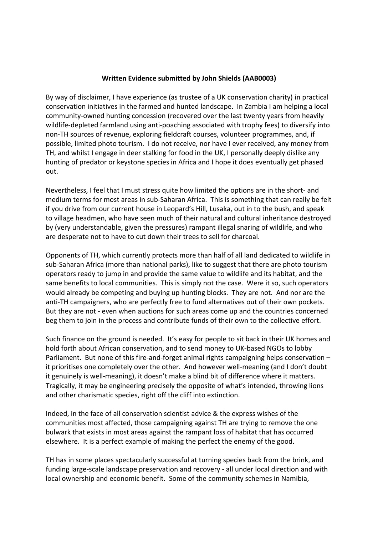## **Written Evidence submitted by John Shields (AAB0003)**

By way of disclaimer, I have experience (as trustee of a UK conservation charity) in practical conservation initiatives in the farmed and hunted landscape. In Zambia I am helping a local community-owned hunting concession (recovered over the last twenty years from heavily wildlife-depleted farmland using anti-poaching associated with trophy fees) to diversify into non-TH sources of revenue, exploring fieldcraft courses, volunteer programmes, and, if possible, limited photo tourism. I do not receive, nor have I ever received, any money from TH, and whilst I engage in deer stalking for food in the UK, I personally deeply dislike any hunting of predator or keystone species in Africa and I hope it does eventually get phased out.

Nevertheless, I feel that I must stress quite how limited the options are in the short- and medium terms for most areas in sub-Saharan Africa. This is something that can really be felt if you drive from our current house in Leopard's Hill, Lusaka, out in to the bush, and speak to village headmen, who have seen much of their natural and cultural inheritance destroyed by (very understandable, given the pressures) rampant illegal snaring of wildlife, and who are desperate not to have to cut down their trees to sell for charcoal.

Opponents of TH, which currently protects more than half of all land dedicated to wildlife in sub-Saharan Africa (more than national parks), like to suggest that there are photo tourism operators ready to jump in and provide the same value to wildlife and its habitat, and the same benefits to local communities. This is simply not the case. Were it so, such operators would already be competing and buying up hunting blocks. They are not. And nor are the anti-TH campaigners, who are perfectly free to fund alternatives out of their own pockets. But they are not - even when auctions for such areas come up and the countries concerned beg them to join in the process and contribute funds of their own to the collective effort.

Such finance on the ground is needed. It's easy for people to sit back in their UK homes and hold forth about African conservation, and to send money to UK-based NGOs to lobby Parliament. But none of this fire-and-forget animal rights campaigning helps conservation – it prioritises one completely over the other. And however well-meaning (and I don't doubt it genuinely is well-meaning), it doesn't make a blind bit of difference where it matters. Tragically, it may be engineering precisely the opposite of what's intended, throwing lions and other charismatic species, right off the cliff into extinction.

Indeed, in the face of all conservation scientist advice & the express wishes of the communities most affected, those campaigning against TH are trying to remove the one bulwark that exists in most areas against the rampant loss of habitat that has occurred elsewhere. It is a perfect example of making the perfect the enemy of the good.

TH has in some places spectacularly successful at turning species back from the brink, and funding large-scale landscape preservation and recovery - all under local direction and with local ownership and economic benefit. Some of the community schemes in Namibia,